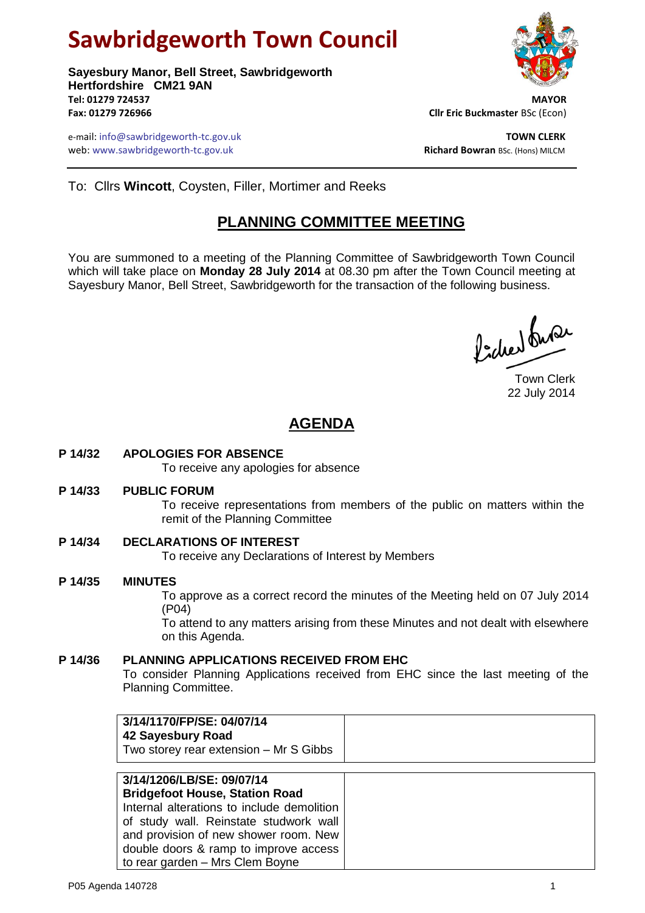# **Sawbridgeworth Town Council**

**Sayesbury Manor, Bell Street, Sawbridgeworth Hertfordshire CM21 9AN Tel: 01279 724537 MAYOR Fax: 01279 726966 Cllr Eric Buckmaster** BSc (Econ)

e-mail: info@sawbridgeworth-tc.gov.uk<br>**Web:** www.sawbridgeworth-tc.gov.uk **TOWN CLERK**<br>**Richard Bowran** BSc. (Hons) MILCM web: www.sawbridgeworth-tc.gov.uk



To: Cllrs **Wincott**, Coysten, Filler, Mortimer and Reeks

## **PLANNING COMMITTEE MEETING**

You are summoned to a meeting of the Planning Committee of Sawbridgeworth Town Council which will take place on **Monday 28 July 2014** at 08.30 pm after the Town Council meeting at Sayesbury Manor, Bell Street, Sawbridgeworth for the transaction of the following business.

ladres buse

Town Clerk 22 July 2014

# **AGENDA**

**P 14/32 APOLOGIES FOR ABSENCE**

To receive any apologies for absence

#### **P 14/33 PUBLIC FORUM**

To receive representations from members of the public on matters within the remit of the Planning Committee

**P 14/34 DECLARATIONS OF INTEREST**

To receive any Declarations of Interest by Members

#### **P 14/35 MINUTES**

To approve as a correct record the minutes of the Meeting held on 07 July 2014 (P04)

To attend to any matters arising from these Minutes and not dealt with elsewhere on this Agenda.

### **P 14/36 PLANNING APPLICATIONS RECEIVED FROM EHC**

To consider Planning Applications received from EHC since the last meeting of the Planning Committee.

| 3/14/1170/FP/SE: 04/07/14<br>42 Sayesbury Road<br>Two storey rear extension - Mr S Gibbs |  |
|------------------------------------------------------------------------------------------|--|
| 3/14/1206/LB/SE: 09/07/14<br><b>Bridgefoot House, Station Road</b>                       |  |
| Internal alterations to include demolition                                               |  |
| of study wall. Reinstate studwork wall                                                   |  |
| and provision of new shower room. New                                                    |  |
| double doors & ramp to improve access                                                    |  |
| to rear garden - Mrs Clem Boyne                                                          |  |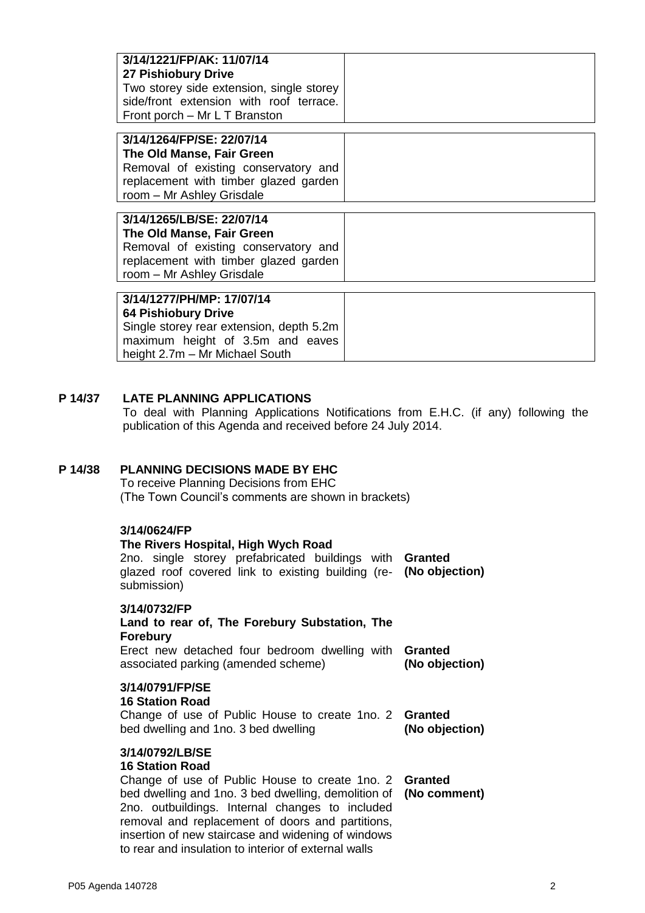| 3/14/1221/FP/AK: 11/07/14                |
|------------------------------------------|
| 27 Pishiobury Drive                      |
| Two storey side extension, single storey |
| side/front extension with roof terrace.  |
| Front porch – Mr L T Branston            |

| 3/14/1264/FP/SE: 22/07/14             |  |  |  |  |
|---------------------------------------|--|--|--|--|
| The Old Manse, Fair Green             |  |  |  |  |
| Removal of existing conservatory and  |  |  |  |  |
| replacement with timber glazed garden |  |  |  |  |
| room - Mr Ashley Grisdale             |  |  |  |  |

**3/14/1265/LB/SE: 22/07/14 The Old Manse, Fair Green** Removal of existing conservatory and replacement with timber glazed garden room – Mr Ashley Grisdale

#### **3/14/1277/PH/MP: 17/07/14 64 Pishiobury Drive**

Single storey rear extension, depth 5.2m maximum height of 3.5m and eaves height 2.7m – Mr Michael South

## **P 14/37 LATE PLANNING APPLICATIONS**

To deal with Planning Applications Notifications from E.H.C. (if any) following the publication of this Agenda and received before 24 July 2014.

## **P 14/38 PLANNING DECISIONS MADE BY EHC**

To receive Planning Decisions from EHC (The Town Council's comments are shown in brackets)

## **3/14/0624/FP**

## **The Rivers Hospital, High Wych Road** 2no. single storey prefabricated buildings with **Granted** glazed roof covered link to existing building (re-**(No objection)** submission) **3/14/0732/FP Land to rear of, The Forebury Substation, The Forebury**

Erect new detached four bedroom dwelling with **Granted** associated parking (amended scheme) **(No objection)**

## **3/14/0791/FP/SE**

## **16 Station Road**

Change of use of Public House to create 1no. 2 **Granted** bed dwelling and 1no. 3 bed dwelling **(No objection)**

#### **3/14/0792/LB/SE**

#### **16 Station Road**

Change of use of Public House to create 1no. 2 **Granted** bed dwelling and 1no. 3 bed dwelling, demolition of **(No comment)**2no. outbuildings. Internal changes to included removal and replacement of doors and partitions, insertion of new staircase and widening of windows to rear and insulation to interior of external walls